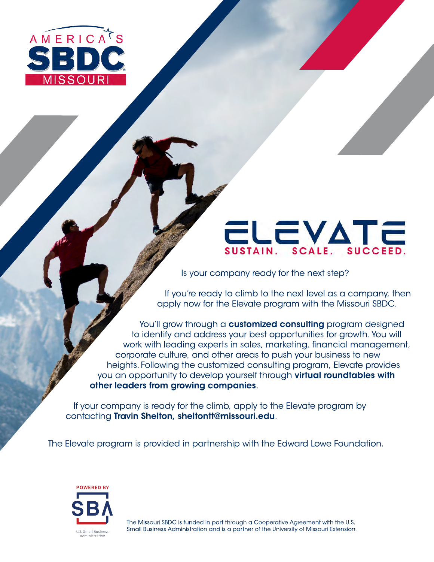

# **ELEVATE**

Is your company ready for the next step?

If you're ready to climb to the next level as a company, then apply now for the Elevate program with the [Missouri SBDC.](https://sbdc.missouri.edu/)

You'll grow through a **customized consulting** program designed to identify and address your best opportunities for growth. You will work with leading experts in sales, marketing, financial management, corporate culture, and other areas to push your business to new heights. Following the customized consulting program, Elevate provides you an opportunity to develop yourself through virtual roundtables with other leaders from growing companies.

If your company is ready for the climb, apply to the Elevate program by contacting Travin Shelton, [sheltontt@missouri.edu](mailto:sheltontt@missouri.edu)[.](mailto:sheltontt@missouri.edu)

The Elevate program is provided in partnership with the Edward Lowe Foundation.



The Missouri SBDC is funded in part through a Cooperative Agreement with the U.S. Small Business Administration and is a partner of the University of Missouri Extension.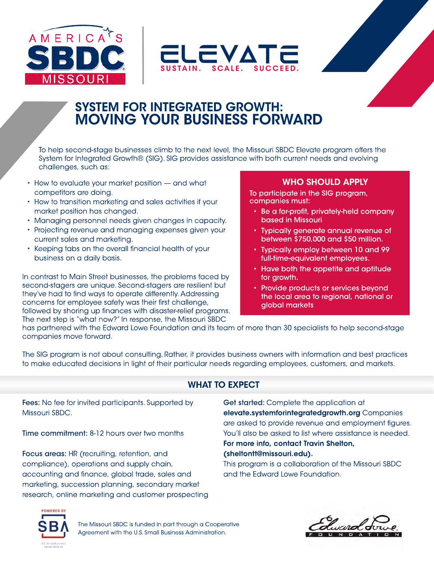



# SYSTEM FOR INTEGRATED GROWTH: MOVING YOUR BUSINESS FORWARD

To help second-stage businesses climb to the next level, the Missouri SBDC Elevate program offers the System for Integrated Growth® (SIG). SIG provides assistance with both current needs and evolving challenges, such as:

- How to evaluate your market position and what competitors are doing.
- How to transition marketing and sales activities if your market position has changed.
- Managing personnel needs given changes in capacity.
- Projecting revenue and managing expenses given your current sales and marketing.
- Keeping tabs on the overall financial health of your business on a daily basis.

In contrast to Main Street businesses, the problems faced by second-stagers are unique. Second-stagers are resilient but they've had to find ways to operate differently. Addressing concerns for employee safety was their first challenge, followed by shoring up finances with disaster-relief programs. The next step is "what now?" In response, the Missouri SBDC

#### WHO SHOULD APPLY

To participate in the SIG program, companies must:

- Be a for-profit, privately-held company based in Missouri
- Typically generate annual revenue of between \$750,000 and \$50 million.
- Typically employ between 10 and 99 full-time-equivalent employees.
- Have both the appetite and aptitude for growth.
- Provide products or services beyond the local area to regional, national or global markets

has partnered with the Edward Lowe Foundation and its team of more than 30 specialists to help second-stage companies move forward.

The SIG program is not about consulting. Rather, it provides business owners with information and best practices to make educated decisions in light of their particular needs regarding employees, customers, and markets.

### WHAT TO EXPECT

Fees: No fee for invited participants. Supported by Missouri SBDC.

Time commitment: 8-12 hours over two months

Focus areas: HR (recruiting, retention, and compliance), operations and supply chain, accounting and finance, global trade, sales and marketing, succession planning, secondary market research, online marketing and customer prospecting Get started: Complete the application at elevate.systemforintegratedgrowth.org Companies are asked to provide revenue and employment figures. You'll also be asked to list where assistance is needed. For more info, contact Travin Shelton,

#### ( [sheltontt@missouri.edu](mailto:sheltontt@missouri.edu)).

This program is a collaboration of the [Missouri SBDC](https://sbdc.missouri.edu/) and the Edward Lowe Foundation.



The Missouri SBDC is funded in part through a Cooperative Agreement with the U.S. Small Business Administration.